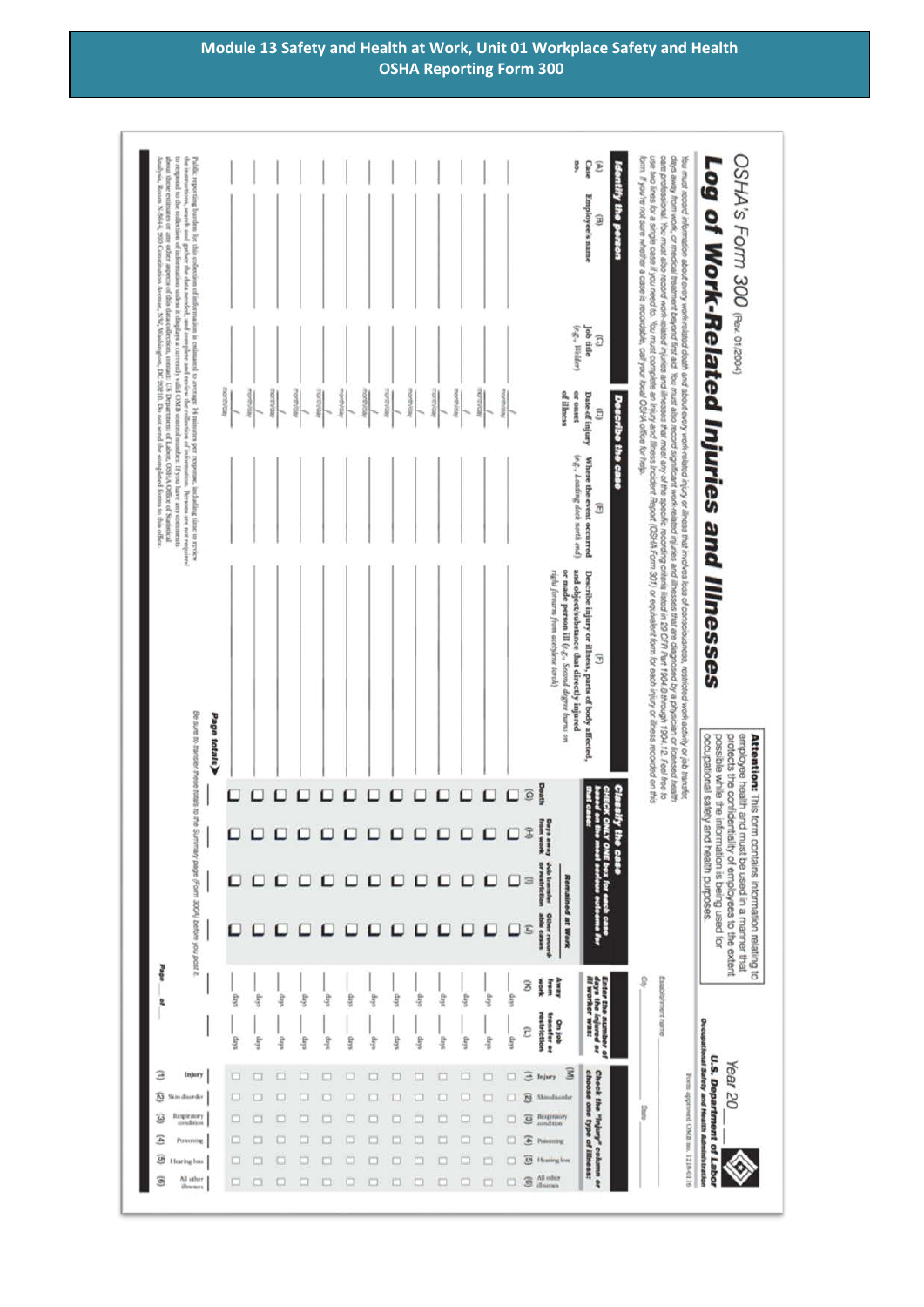## **Module 13 Safety and Health at Work, Unit 01 Workplace Safety and Health OSHA Reporting Form 300**

| Palike reporting burban for this collection of information is estimated to average 14 minutes per response, including time to review<br>the instruction, search and gather the data serebel, and emplote and review the collectio<br>to respond to the collection of information sinks is displays a currently valid OMB courted manber. If you have any comments<br>leadysis, Room N-S644, 200 Canstrainon Avenue, NW, Washington, DC 20210. Do not send the completed forms to this office<br>about these estimates or any other aspects of this data collection, contact: US Department of Labor, OSHA Office of Sothistical |                                                         | morehold |         |        |        |   |              | touso  | Abcusou | Algorization          |                   | eccions               | ieprazou         | of illness<br>right forwart from acetylene torch) |                                                                                                                                                                                                                                             | or made person ill (e.g., Second degree burns on | ğ<br>Çase<br>Σ<br><b>Identify the person</b><br>Employee's name<br>ø<br>$(\epsilon_{\mathcal{L}},$ Weider)<br><b>Job</b> title<br>$\overline{\Omega}$<br>or onset<br>Date of injury<br>Describe the case<br>ĝ<br>(e.g., Londing dock north end)<br>Where the event occurred<br>ô<br>and object/substance that directly injured<br>Describe injury or illness, parts of body affected,<br>G |                | use two Evas for a single case if you more complete an injury and through the plays of the spidial of a papalent form of the second on the second on the second on the second of the second of the second of the second of the<br>form. If you're not sure whether a case is recordable, call your local OSHA office for help. | care potessions /burmus teorit behaving applies and measure that provide modelly applied that of the part 1904 proud that 1904 12. Feel teach<br>days away hom work, or medical teatment beyond first aid. You must also record significant work-related injuries and all are all and all and all and a subscienced heathy a physician or licensed heath | four must record information about even y which died and with the properties in the state modes that which is consciousings, restricted work activity or partistical activity or (b) transition | OSHA's Form 300 (Rev. 01/2004)<br>Log of Work-Related Injuries and Illnesses                                                                                                                                                                                          |
|---------------------------------------------------------------------------------------------------------------------------------------------------------------------------------------------------------------------------------------------------------------------------------------------------------------------------------------------------------------------------------------------------------------------------------------------------------------------------------------------------------------------------------------------------------------------------------------------------------------------------------|---------------------------------------------------------|----------|---------|--------|--------|---|--------------|--------|---------|-----------------------|-------------------|-----------------------|------------------|---------------------------------------------------|---------------------------------------------------------------------------------------------------------------------------------------------------------------------------------------------------------------------------------------------|--------------------------------------------------|--------------------------------------------------------------------------------------------------------------------------------------------------------------------------------------------------------------------------------------------------------------------------------------------------------------------------------------------------------------------------------------------|----------------|--------------------------------------------------------------------------------------------------------------------------------------------------------------------------------------------------------------------------------------------------------------------------------------------------------------------------------|----------------------------------------------------------------------------------------------------------------------------------------------------------------------------------------------------------------------------------------------------------------------------------------------------------------------------------------------------------|-------------------------------------------------------------------------------------------------------------------------------------------------------------------------------------------------|-----------------------------------------------------------------------------------------------------------------------------------------------------------------------------------------------------------------------------------------------------------------------|
|                                                                                                                                                                                                                                                                                                                                                                                                                                                                                                                                                                                                                                 | Be sure to thinglet these todals to the<br>Page totals> |          |         | O      | O      | O |              | $\Box$ | □       | D                     | O                 | о                     | $\Box$           |                                                   | Doath<br>$\widehat{\mathfrak{D}}$                                                                                                                                                                                                           |                                                  |                                                                                                                                                                                                                                                                                                                                                                                            |                |                                                                                                                                                                                                                                                                                                                                |                                                                                                                                                                                                                                                                                                                                                          |                                                                                                                                                                                                 | occupational safety and health purposes.<br>employee health and must be used in a manner that<br>possible while the information is being used for<br>protects the confidentiality of employees to the extent<br>Attention: This form contains information relating to |
|                                                                                                                                                                                                                                                                                                                                                                                                                                                                                                                                                                                                                                 |                                                         |          |         | O      | O      | O | o            | $\Box$ | $\Box$  | о                     | о                 | о                     | O                | о                                                 | <b>Trem mork</b><br>Views away<br>Ξ                                                                                                                                                                                                         |                                                  | ECK OI<br>a<br>S                                                                                                                                                                                                                                                                                                                                                                           |                |                                                                                                                                                                                                                                                                                                                                |                                                                                                                                                                                                                                                                                                                                                          |                                                                                                                                                                                                 |                                                                                                                                                                                                                                                                       |
|                                                                                                                                                                                                                                                                                                                                                                                                                                                                                                                                                                                                                                 |                                                         |          |         | □      | о      | о | О            | O      | O       |                       | □                 |                       |                  |                                                   | Job transfer<br>or restriction<br>Э                                                                                                                                                                                                         |                                                  | ONE box for each case<br><b>DIE SERVOLUS</b>                                                                                                                                                                                                                                                                                                                                               | <b>70 C230</b> |                                                                                                                                                                                                                                                                                                                                |                                                                                                                                                                                                                                                                                                                                                          |                                                                                                                                                                                                 |                                                                                                                                                                                                                                                                       |
|                                                                                                                                                                                                                                                                                                                                                                                                                                                                                                                                                                                                                                 | Summary page (Form 3004) selece you post it             |          |         |        |        |   |              |        |         |                       |                   |                       |                  |                                                   | Other records<br>able cases<br>S                                                                                                                                                                                                            | Remained at Work                                 | outcome for                                                                                                                                                                                                                                                                                                                                                                                |                |                                                                                                                                                                                                                                                                                                                                |                                                                                                                                                                                                                                                                                                                                                          |                                                                                                                                                                                                 |                                                                                                                                                                                                                                                                       |
| 2                                                                                                                                                                                                                                                                                                                                                                                                                                                                                                                                                                                                                               |                                                         | g<br>g   | ğ<br>gi | g<br>g | g<br>ğ | g | g            | š<br>ğ | g       | gip<br>ğ              | g                 | ghia<br>ĝ             | siep.<br>gin     | sing<br>siep                                      | <b>From</b><br><b>Mork</b><br>$\bar{z}$<br>restriction<br>Ē                                                                                                                                                                                 | On job<br>transfer or                            | Enter the number of<br>days the injured or<br>ill worker was:                                                                                                                                                                                                                                                                                                                              |                | ₿                                                                                                                                                                                                                                                                                                                              | STRATEGISTS TRANS                                                                                                                                                                                                                                                                                                                                        |                                                                                                                                                                                                 | <b>Occ</b>                                                                                                                                                                                                                                                            |
| з<br>ន<br>Skin disorder<br>Везранеу<br>9<br>Ξ<br>g<br>Hearing loss                                                                                                                                                                                                                                                                                                                                                                                                                                                                                                                                                              | Injury<br>condition<br>Polyoning<br>All other           | □        | □       | o      |        |   | o<br>C)<br>o | □      | Ω       | □<br>u<br>c<br>o<br>o | □<br>o<br>o<br>co | o<br>u<br>o<br>α<br>п | □<br>α<br>□<br>α | □<br>Ω<br>□<br>о<br>o                             | Э<br>Injury<br>$\mathfrak{D}% _{T}=\mathfrak{D}_{T}\!\left( a,b\right) ,\mathfrak{D}_{T}=\mathfrak{D}_{T}\!\left( a,b\right) ,$<br>Bespiratory<br>ම<br>condition<br>Ξ<br>Poisoning<br>ø<br>f fearing loss<br>All other<br>G<br><b>Понят</b> | ŝ<br>Skin dissister                              | choose one type of illness:<br>Check the "Injury" column or                                                                                                                                                                                                                                                                                                                                |                | Ķ                                                                                                                                                                                                                                                                                                                              |                                                                                                                                                                                                                                                                                                                                                          | Form approved OMB no. 1218-0176                                                                                                                                                                 | stional Safety and Health Administration<br><b>U.S. Department of</b><br>Year 20<br>Labor                                                                                                                                                                             |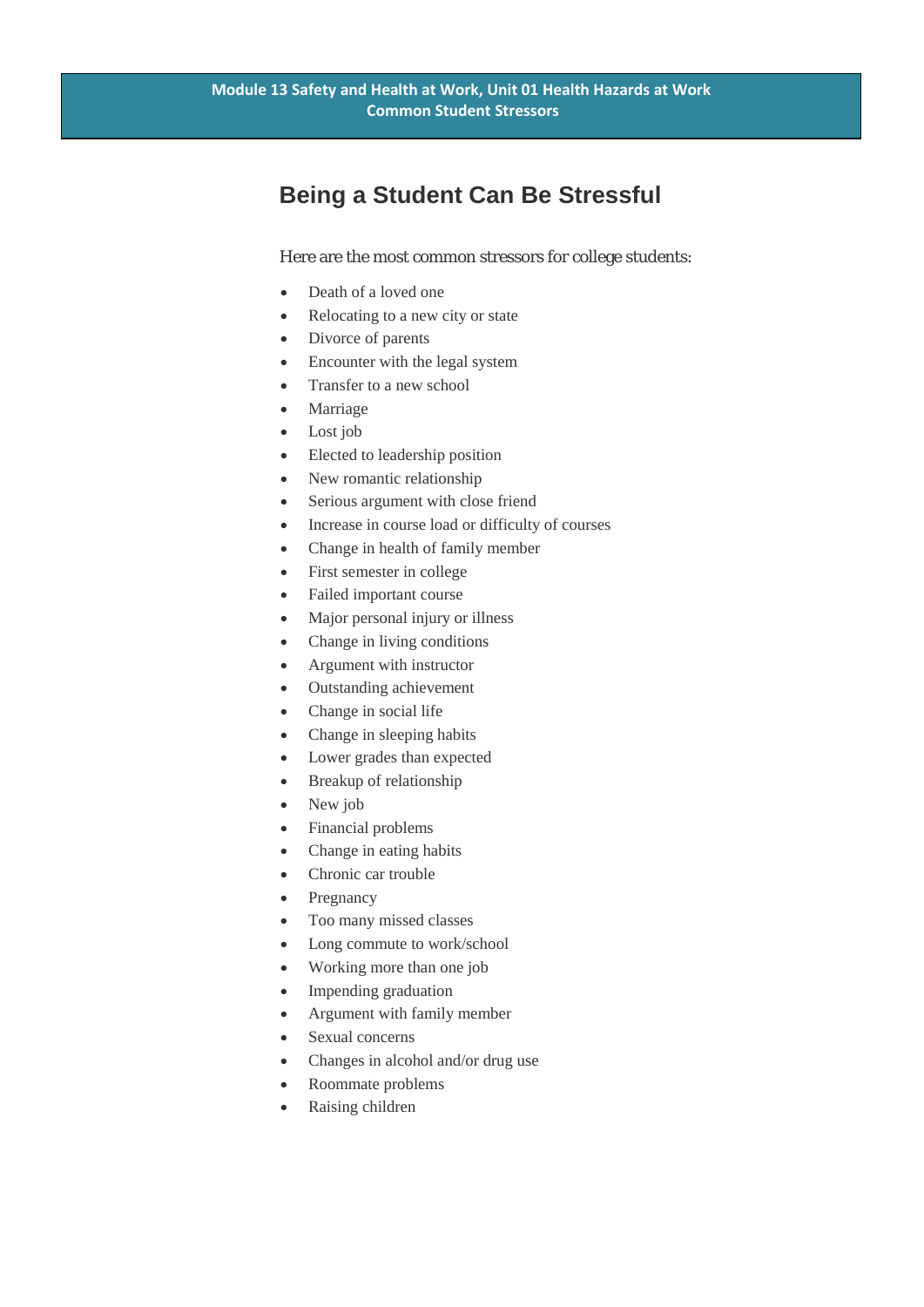## **Being a Student Can Be Stressful**

Here are the most common stressors for college students:

- Death of a loved one
- Relocating to a new city or state
- Divorce of parents
- Encounter with the legal system
- Transfer to a new school
- **Marriage**
- Lost job
- Elected to leadership position
- New romantic relationship
- Serious argument with close friend
- Increase in course load or difficulty of courses
- Change in health of family member
- First semester in college
- Failed important course
- Major personal injury or illness
- Change in living conditions
- Argument with instructor
- Outstanding achievement
- Change in social life
- Change in sleeping habits
- Lower grades than expected
- Breakup of relationship
- New job
- Financial problems
- Change in eating habits
- Chronic car trouble
- **Pregnancy**
- Too many missed classes
- Long commute to work/school
- Working more than one job
- Impending graduation
- Argument with family member
- Sexual concerns
- Changes in alcohol and/or drug use
- Roommate problems
- Raising children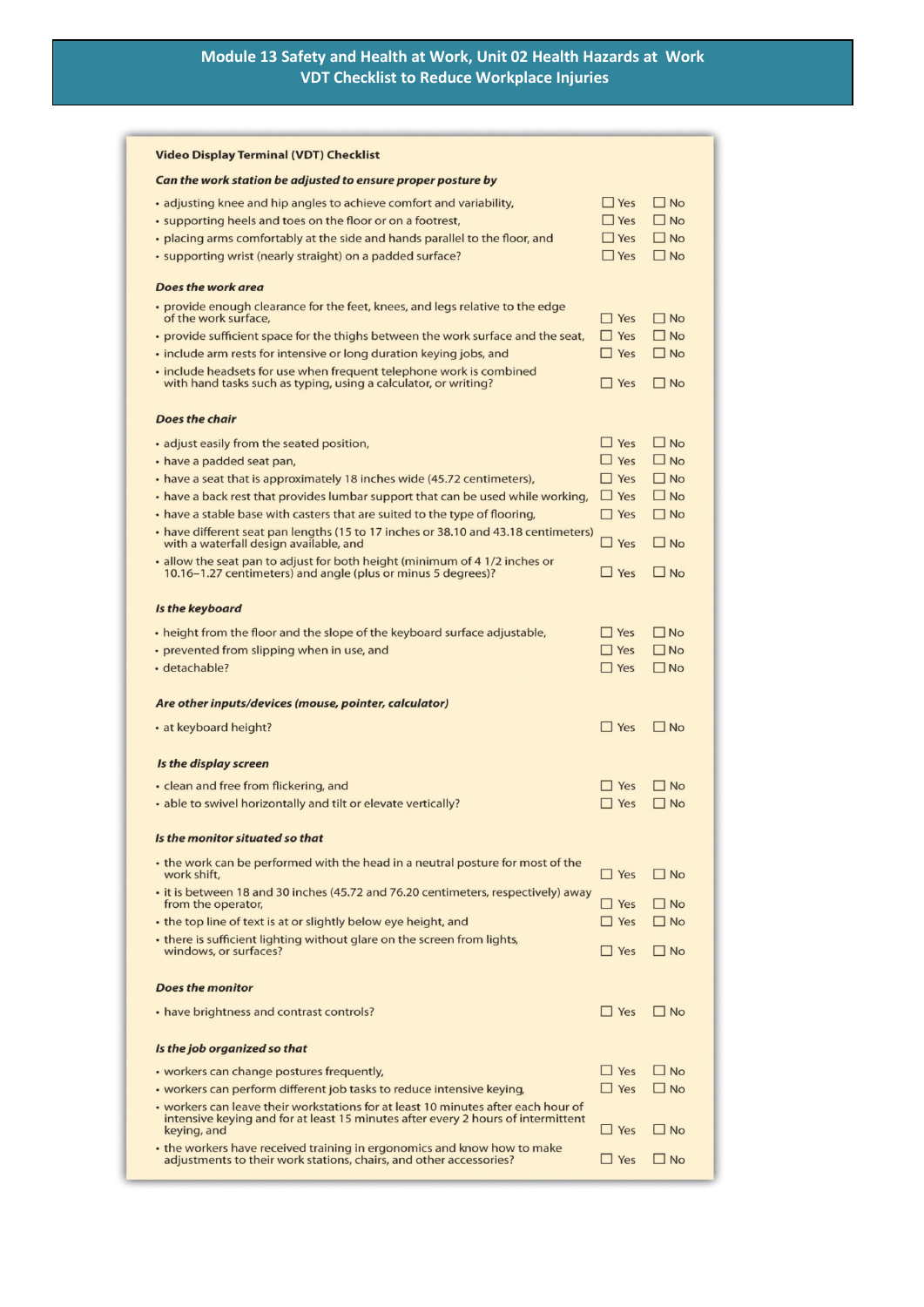| <b>Video Display Terminal (VDT) Checklist</b>                                                                                                                                                                                                                                                                                                                                                                                                                                                                                                                                                    |                                                                                                |                                                                                            |
|--------------------------------------------------------------------------------------------------------------------------------------------------------------------------------------------------------------------------------------------------------------------------------------------------------------------------------------------------------------------------------------------------------------------------------------------------------------------------------------------------------------------------------------------------------------------------------------------------|------------------------------------------------------------------------------------------------|--------------------------------------------------------------------------------------------|
| Can the work station be adjusted to ensure proper posture by                                                                                                                                                                                                                                                                                                                                                                                                                                                                                                                                     |                                                                                                |                                                                                            |
| • adjusting knee and hip angles to achieve comfort and variability,<br>• supporting heels and toes on the floor or on a footrest,<br>• placing arms comfortably at the side and hands parallel to the floor, and<br>· supporting wrist (nearly straight) on a padded surface?                                                                                                                                                                                                                                                                                                                    | $\Box$ Yes<br>$\Box$ Yes<br>$\Box$ Yes<br>$\Box$ Yes                                           | $\Box$ No<br>$\Box$ No<br>$\Box$ No<br>$\Box$ No                                           |
| <b>Does the work area</b>                                                                                                                                                                                                                                                                                                                                                                                                                                                                                                                                                                        |                                                                                                |                                                                                            |
| • provide enough clearance for the feet, knees, and legs relative to the edge<br>of the work surface,<br>• provide sufficient space for the thighs between the work surface and the seat,<br>. include arm rests for intensive or long duration keying jobs, and<br>· include headsets for use when frequent telephone work is combined<br>with hand tasks such as typing, using a calculator, or writing?                                                                                                                                                                                       | $\Box$ Yes<br>$\Box$ Yes<br>$\Box$ Yes<br>$\Box$ Yes                                           | $\Box$ No<br>$\Box$ No<br>$\Box$ No<br>$\Box$ No                                           |
| <b>Does the chair</b>                                                                                                                                                                                                                                                                                                                                                                                                                                                                                                                                                                            |                                                                                                |                                                                                            |
| • adjust easily from the seated position,<br>• have a padded seat pan,<br>• have a seat that is approximately 18 inches wide (45.72 centimeters),<br>• have a back rest that provides lumbar support that can be used while working,<br>• have a stable base with casters that are suited to the type of flooring,<br>• have different seat pan lengths (15 to 17 inches or 38.10 and 43.18 centimeters)<br>with a waterfall design available, and<br>• allow the seat pan to adjust for both height (minimum of 4 1/2 inches or<br>10.16–1.27 centimeters) and angle (plus or minus 5 degrees)? | $\Box$ Yes<br>$\Box$ Yes<br>$\Box$ Yes<br>$\Box$ Yes<br>$\Box$ Yes<br>$\Box$ Yes<br>$\Box$ Yes | $\Box$ No<br>$\square$ No<br>$\Box$ No<br>$\Box$ No<br>$\Box$ No<br>$\Box$ No<br>$\Box$ No |
| Is the keyboard                                                                                                                                                                                                                                                                                                                                                                                                                                                                                                                                                                                  |                                                                                                |                                                                                            |
| • height from the floor and the slope of the keyboard surface adjustable,<br>• prevented from slipping when in use, and<br>· detachable?                                                                                                                                                                                                                                                                                                                                                                                                                                                         | $\Box$ Yes<br>$\Box$ Yes<br>$\Box$ Yes                                                         | $\Box$ No<br>$\Box$ No<br>$\Box$ No                                                        |
| Are other inputs/devices (mouse, pointer, calculator)                                                                                                                                                                                                                                                                                                                                                                                                                                                                                                                                            |                                                                                                |                                                                                            |
| • at keyboard height?                                                                                                                                                                                                                                                                                                                                                                                                                                                                                                                                                                            | $\Box$ Yes                                                                                     | $\Box$ No                                                                                  |
| Is the display screen                                                                                                                                                                                                                                                                                                                                                                                                                                                                                                                                                                            |                                                                                                |                                                                                            |
| • clean and free from flickering, and<br>• able to swivel horizontally and tilt or elevate vertically?                                                                                                                                                                                                                                                                                                                                                                                                                                                                                           | $\Box$ Yes<br>$\Box$ Yes                                                                       | $\Box$ No<br>$\Box$ No                                                                     |
| Is the monitor situated so that                                                                                                                                                                                                                                                                                                                                                                                                                                                                                                                                                                  |                                                                                                |                                                                                            |
| • the work can be performed with the head in a neutral posture for most of the<br>work shift,                                                                                                                                                                                                                                                                                                                                                                                                                                                                                                    | $\Box$ Yes                                                                                     | $\Box$ No                                                                                  |
| • it is between 18 and 30 inches (45.72 and 76.20 centimeters, respectively) away<br>from the operator,<br>• the top line of text is at or slightly below eye height, and                                                                                                                                                                                                                                                                                                                                                                                                                        | $\Box$ Yes<br>$\Box$ Yes                                                                       | $\Box$ No<br>$\Box$ No                                                                     |
| • there is sufficient lighting without glare on the screen from lights,<br>windows, or surfaces?                                                                                                                                                                                                                                                                                                                                                                                                                                                                                                 | $\Box$ Yes                                                                                     | $\Box$ No                                                                                  |
| <b>Does the monitor</b>                                                                                                                                                                                                                                                                                                                                                                                                                                                                                                                                                                          |                                                                                                |                                                                                            |
| • have brightness and contrast controls?                                                                                                                                                                                                                                                                                                                                                                                                                                                                                                                                                         | $\Box$ Yes                                                                                     | $\Box$ No                                                                                  |
| Is the job organized so that                                                                                                                                                                                                                                                                                                                                                                                                                                                                                                                                                                     |                                                                                                |                                                                                            |
| • workers can change postures frequently,                                                                                                                                                                                                                                                                                                                                                                                                                                                                                                                                                        | $\Box$ Yes                                                                                     | $\Box$ No                                                                                  |
| • workers can perform different job tasks to reduce intensive keying,<br>• workers can leave their workstations for at least 10 minutes after each hour of                                                                                                                                                                                                                                                                                                                                                                                                                                       | $\Box$ Yes                                                                                     | $\Box$ No                                                                                  |
| intensive keying and for at least 15 minutes after every 2 hours of intermittent<br>keying, and                                                                                                                                                                                                                                                                                                                                                                                                                                                                                                  | $\Box$ Yes                                                                                     | $\Box$ No                                                                                  |
| • the workers have received training in ergonomics and know how to make<br>adjustments to their work stations, chairs, and other accessories?                                                                                                                                                                                                                                                                                                                                                                                                                                                    | $\Box$ Yes                                                                                     | $\square$ No                                                                               |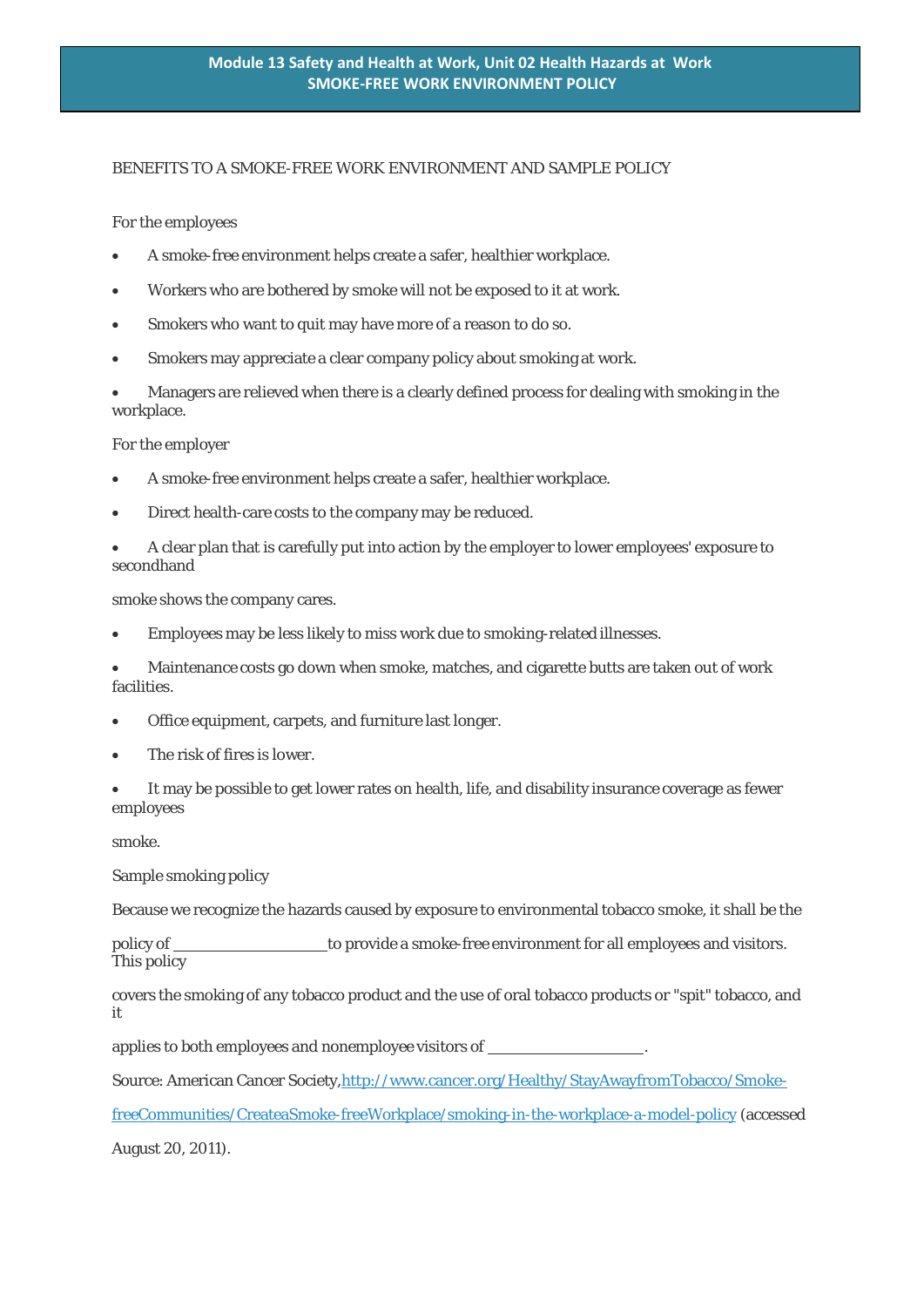## BENEFITS TO A SMOKE-FREE WORK ENVIRONMENT AND SAMPLE POLICY

For the employees

- A smoke-free environment helps create a safer, healthier workplace.
- Workers who are bothered by smoke will not be exposed to it at work.
- Smokers who want to quit may have more of a reason to do so.
- Smokers may appreciate a clear company policy about smoking at work.

• Managers are relieved when there is a clearly defined process for dealing with smoking in the workplace.

For the employer

- A smoke-free environment helps create a safer, healthier workplace.
- Direct health-care costs to the company may be reduced.
- A clear plan that is carefully put into action by the employer to lower employees' exposure to secondhand

smoke shows the company cares.

- Employees may be less likely to miss work due to smoking-related illnesses.
- Maintenance costs go down when smoke, matches, and cigarette butts are taken out of work facilities.
- Office equipment, carpets, and furniture last longer.
- The risk of fires is lower.
- It may be possible to get lower rates on health, life, and disability insurance coverage as fewer employees

smoke.

Sample smoking policy

Because we recognize the hazards caused by exposure to environmental tobacco smoke, it shall be the

policy of to provide a smoke-free environment for all employees and visitors. This policy

covers the smoking of any tobacco product and the use of oral tobacco products or "spit" tobacco, and it

applies to both employees and nonemployee visitors of \_

Source: American Cancer Society[,http://www.cancer.org/Healthy/StayAwayfromTobacco/Smoke-](http://www.cancer.org/Healthy/StayAwayfromTobacco/Smoke-freeCommunities/CreateaSmoke-freeWorkplace/smoking-in-the-workplace-a-model-policy)

[freeCommunities/CreateaSmoke-freeWorkplace/smoking-in-the-workplace-a-model-policy](http://www.cancer.org/Healthy/StayAwayfromTobacco/Smoke-freeCommunities/CreateaSmoke-freeWorkplace/smoking-in-the-workplace-a-model-policy) (accessed

August 20, 2011).